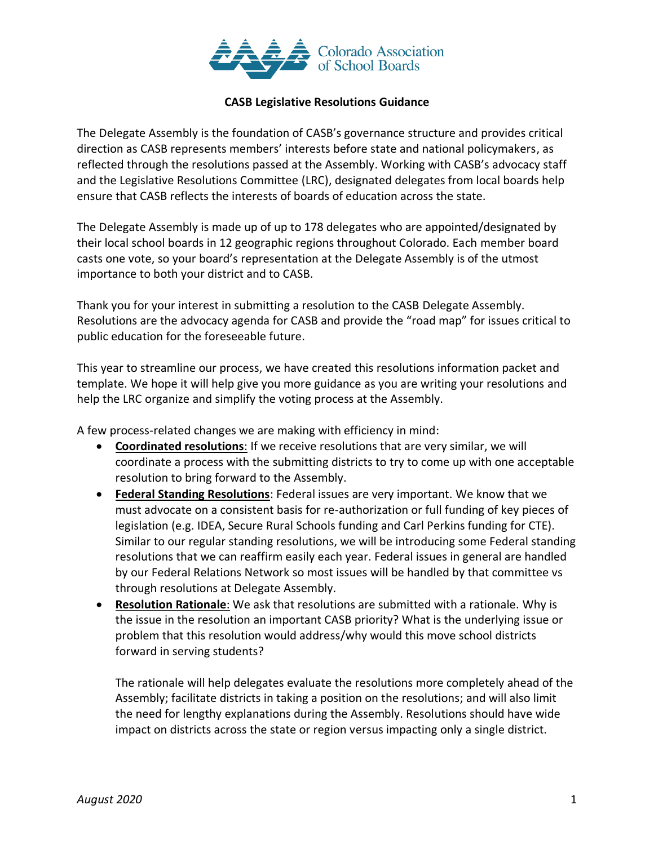

#### **CASB Legislative Resolutions Guidance**

The Delegate Assembly is the foundation of CASB's governance structure and provides critical direction as CASB represents members' interests before state and national policymakers, as reflected through the resolutions passed at the Assembly. Working with CASB's advocacy staff and the Legislative Resolutions Committee (LRC), designated delegates from local boards help ensure that CASB reflects the interests of boards of education across the state.

The Delegate Assembly is made up of up to 178 delegates who are appointed/designated by their local school boards in 12 geographic regions throughout Colorado. Each member board casts one vote, so your board's representation at the Delegate Assembly is of the utmost importance to both your district and to CASB.

Thank you for your interest in submitting a resolution to the CASB Delegate Assembly. Resolutions are the advocacy agenda for CASB and provide the "road map" for issues critical to public education for the foreseeable future.

This year to streamline our process, we have created this resolutions information packet and template. We hope it will help give you more guidance as you are writing your resolutions and help the LRC organize and simplify the voting process at the Assembly.

A few process-related changes we are making with efficiency in mind:

- **Coordinated resolutions**: If we receive resolutions that are very similar, we will coordinate a process with the submitting districts to try to come up with one acceptable resolution to bring forward to the Assembly.
- **Federal Standing Resolutions**: Federal issues are very important. We know that we must advocate on a consistent basis for re-authorization or full funding of key pieces of legislation (e.g. IDEA, Secure Rural Schools funding and Carl Perkins funding for CTE). Similar to our regular standing resolutions, we will be introducing some Federal standing resolutions that we can reaffirm easily each year. Federal issues in general are handled by our Federal Relations Network so most issues will be handled by that committee vs through resolutions at Delegate Assembly.
- **Resolution Rationale**: We ask that resolutions are submitted with a rationale. Why is the issue in the resolution an important CASB priority? What is the underlying issue or problem that this resolution would address/why would this move school districts forward in serving students?

The rationale will help delegates evaluate the resolutions more completely ahead of the Assembly; facilitate districts in taking a position on the resolutions; and will also limit the need for lengthy explanations during the Assembly. Resolutions should have wide impact on districts across the state or region versus impacting only a single district.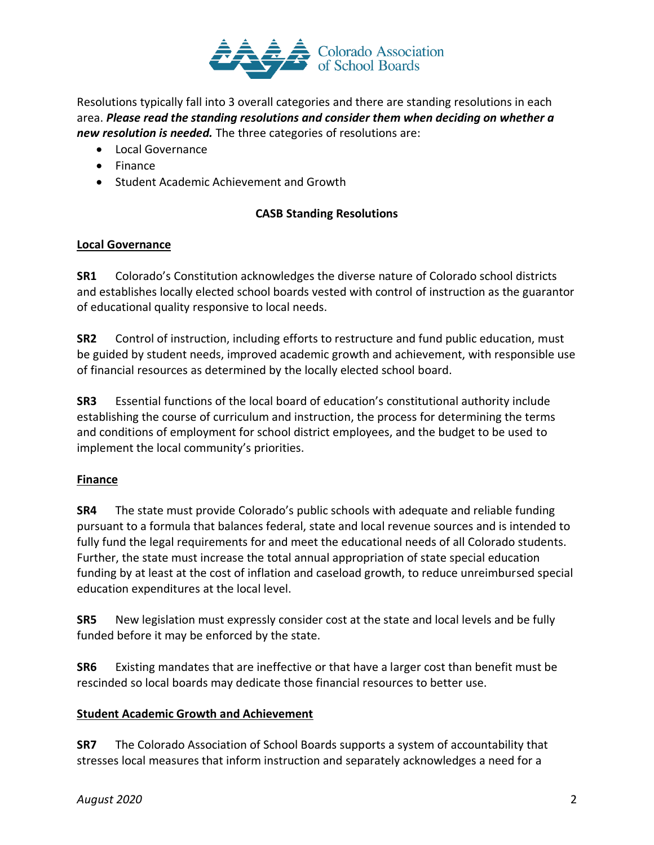

Resolutions typically fall into 3 overall categories and there are standing resolutions in each area. *Please read the standing resolutions and consider them when deciding on whether a new resolution is needed.* The three categories of resolutions are:

- Local Governance
- Finance
- Student Academic Achievement and Growth

# **CASB Standing Resolutions**

#### **Local Governance**

**SR1** Colorado's Constitution acknowledges the diverse nature of Colorado school districts and establishes locally elected school boards vested with control of instruction as the guarantor of educational quality responsive to local needs.

**SR2** Control of instruction, including efforts to restructure and fund public education, must be guided by student needs, improved academic growth and achievement, with responsible use of financial resources as determined by the locally elected school board.

**SR3** Essential functions of the local board of education's constitutional authority include establishing the course of curriculum and instruction, the process for determining the terms and conditions of employment for school district employees, and the budget to be used to implement the local community's priorities.

# **Finance**

**SR4** The state must provide Colorado's public schools with adequate and reliable funding pursuant to a formula that balances federal, state and local revenue sources and is intended to fully fund the legal requirements for and meet the educational needs of all Colorado students. Further, the state must increase the total annual appropriation of state special education funding by at least at the cost of inflation and caseload growth, to reduce unreimbursed special education expenditures at the local level.

**SR5** New legislation must expressly consider cost at the state and local levels and be fully funded before it may be enforced by the state.

**SR6** Existing mandates that are ineffective or that have a larger cost than benefit must be rescinded so local boards may dedicate those financial resources to better use.

# **Student Academic Growth and Achievement**

**SR7** The Colorado Association of School Boards supports a system of accountability that stresses local measures that inform instruction and separately acknowledges a need for a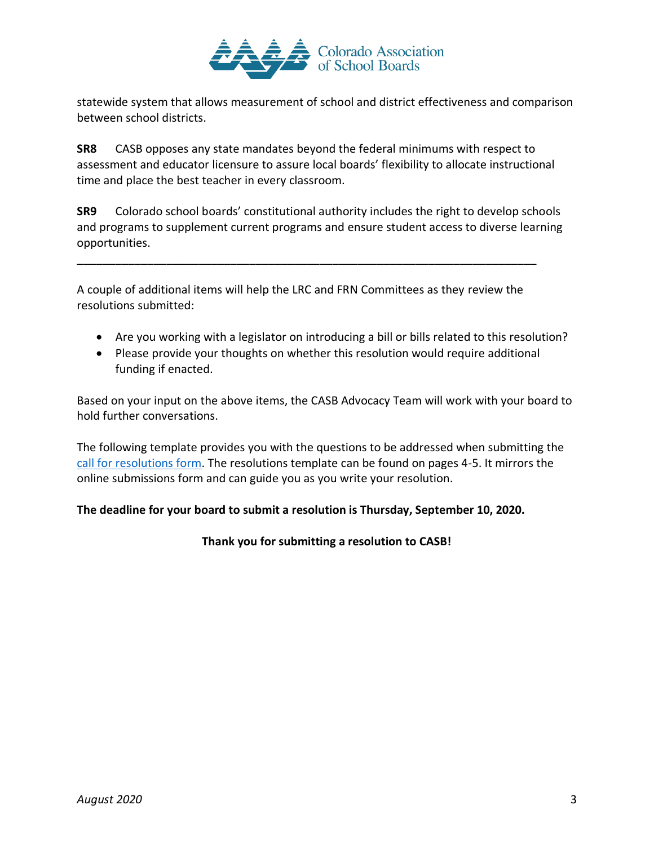

statewide system that allows measurement of school and district effectiveness and comparison between school districts.

**SR8** CASB opposes any state mandates beyond the federal minimums with respect to assessment and educator licensure to assure local boards' flexibility to allocate instructional time and place the best teacher in every classroom.

**SR9** Colorado school boards' constitutional authority includes the right to develop schools and programs to supplement current programs and ensure student access to diverse learning opportunities.

A couple of additional items will help the LRC and FRN Committees as they review the resolutions submitted:

\_\_\_\_\_\_\_\_\_\_\_\_\_\_\_\_\_\_\_\_\_\_\_\_\_\_\_\_\_\_\_\_\_\_\_\_\_\_\_\_\_\_\_\_\_\_\_\_\_\_\_\_\_\_\_\_\_\_\_\_\_\_\_\_\_\_\_\_\_\_\_\_

- Are you working with a legislator on introducing a bill or bills related to this resolution?
- Please provide your thoughts on whether this resolution would require additional funding if enacted.

Based on your input on the above items, the CASB Advocacy Team will work with your board to hold further conversations.

The following template provides you with the questions to be addressed when submitting the [call for resolutions form.](https://casb.memberclicks.net/2020_Delegate_Assembly#/) The resolutions template can be found on pages 4-5. It mirrors the online submissions form and can guide you as you write your resolution.

#### **The deadline for your board to submit a resolution is Thursday, September 10, 2020.**

**Thank you for submitting a resolution to CASB!**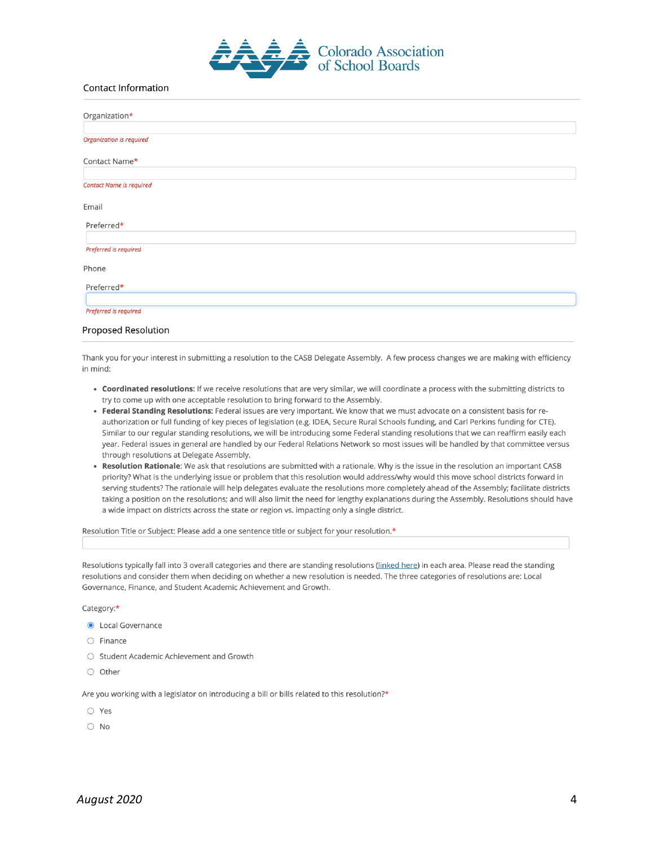

#### **Contact Information**

| Organization*                   |  |
|---------------------------------|--|
| <b>Organization is required</b> |  |
| Contact Name*                   |  |
| <b>Contact Name is required</b> |  |
| Email                           |  |
| Preferred*                      |  |
| Preferred is required           |  |
| Phone                           |  |
| Preferred*                      |  |
| Preferred is required           |  |

# Proposed Resolution

Thank you for your interest in submitting a resolution to the CASB Delegate Assembly. A few process changes we are making with efficiency in mind:

- . Coordinated resolutions: If we receive resolutions that are very similar, we will coordinate a process with the submitting districts to try to come up with one acceptable resolution to bring forward to the Assembly.
- Federal Standing Resolutions: Federal issues are very important. We know that we must advocate on a consistent basis for reauthorization or full funding of key pieces of legislation (e.g. IDEA, Secure Rural Schools funding, and Carl Perkins funding for CTE). Similar to our regular standing resolutions, we will be introducing some Federal standing resolutions that we can reaffirm easily each year. Federal issues in general are handled by our Federal Relations Network so most issues will be handled by that committee versus through resolutions at Delegate Assembly.
- . Resolution Rationale: We ask that resolutions are submitted with a rationale. Why is the issue in the resolution an important CASB priority? What is the underlying issue or problem that this resolution would address/why would this move school districts forward in serving students? The rationale will help delegates evaluate the resolutions more completely ahead of the Assembly; facilitate districts taking a position on the resolutions; and will also limit the need for lengthy explanations during the Assembly. Resolutions should have a wide impact on districts across the state or region vs. impacting only a single district.

Resolution Title or Subject: Please add a one sentence title or subject for your resolution.\*

Resolutions typically fall into 3 overall categories and there are standing resolutions (linked here) in each area. Please read the standing resolutions and consider them when deciding on whether a new resolution is needed. The three categories of resolutions are: Local Governance, Finance, and Student Academic Achievement and Growth.

#### Category:\*

- **O** Local Governance
- $\bigcirc$  Finance
- Student Academic Achievement and Growth
- $\bigcirc$  Other

Are you working with a legislator on introducing a bill or bills related to this resolution?\*

- $\bigcirc$  Yes
- $\bigcirc$  No